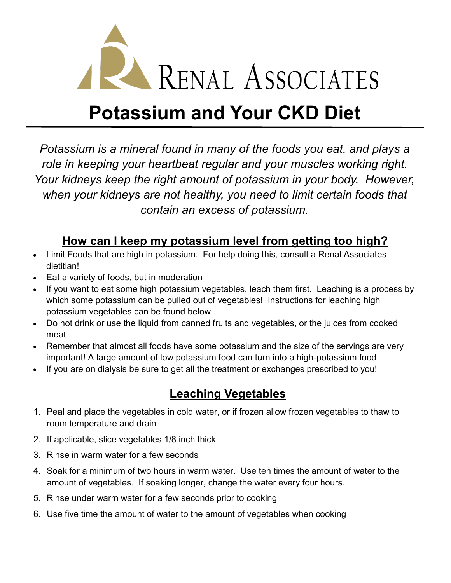

# **Potassium and Your CKD Diet**

*Potassium is a mineral found in many of the foods you eat, and plays a role in keeping your heartbeat regular and your muscles working right. Your kidneys keep the right amount of potassium in your body. However, when your kidneys are not healthy, you need to limit certain foods that contain an excess of potassium.* 

## **How can I keep my potassium level from getting too high?**

- Limit Foods that are high in potassium. For help doing this, consult a Renal Associates dietitian!
- Eat a variety of foods, but in moderation
- If you want to eat some high potassium vegetables, leach them first. Leaching is a process by which some potassium can be pulled out of vegetables! Instructions for leaching high potassium vegetables can be found below
- Do not drink or use the liquid from canned fruits and vegetables, or the juices from cooked meat
- Remember that almost all foods have some potassium and the size of the servings are very important! A large amount of low potassium food can turn into a high-potassium food
- If you are on dialysis be sure to get all the treatment or exchanges prescribed to you!

# **Leaching Vegetables**

- 1. Peal and place the vegetables in cold water, or if frozen allow frozen vegetables to thaw to room temperature and drain
- 2. If applicable, slice vegetables 1/8 inch thick
- 3. Rinse in warm water for a few seconds
- 4. Soak for a minimum of two hours in warm water. Use ten times the amount of water to the amount of vegetables. If soaking longer, change the water every four hours.
- 5. Rinse under warm water for a few seconds prior to cooking
- 6. Use five time the amount of water to the amount of vegetables when cooking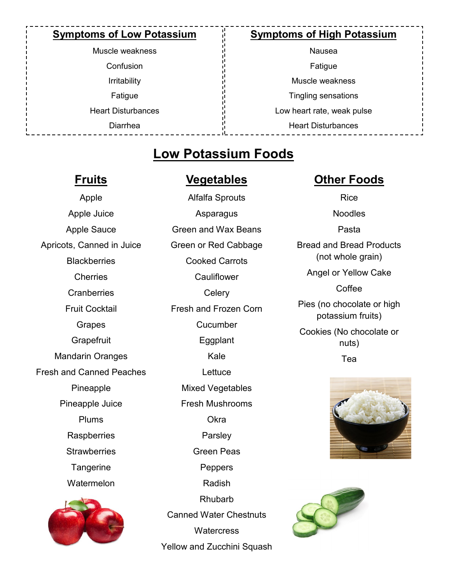#### **Symptoms of Low Potassium**

Muscle weakness **Confusion** Irritability Fatigue Heart Disturbances Diarrhea

#### **Symptoms of High Potassium**

Nausea Fatigue Muscle weakness Tingling sensations Low heart rate, weak pulse Heart Disturbances

# **Low Potassium Foods**

### **Fruits**

#### **Vegetables**

Apple Apple Juice Apple Sauce Apricots, Canned in Juice **Blackberries Cherries Cranberries** Fruit Cocktail Grapes **Grapefruit** Mandarin Oranges Fresh and Canned Peaches Pineapple Pineapple Juice Plums **Raspberries Strawberries Tangerine** Watermelon



Alfalfa Sprouts Asparagus Green and Wax Beans Green or Red Cabbage Cooked Carrots **Cauliflower Celery** Fresh and Frozen Corn Cucumber Eggplant Kale **Lettuce** Mixed Vegetables Fresh Mushrooms Okra Parsley Green Peas Peppers Radish Rhubarb Canned Water Chestnuts **Watercress** Yellow and Zucchini Squash

## **Other Foods**

Rice Noodles Pasta Bread and Bread Products (not whole grain) Angel or Yellow Cake Coffee Pies (no chocolate or high potassium fruits) Cookies (No chocolate or nuts)